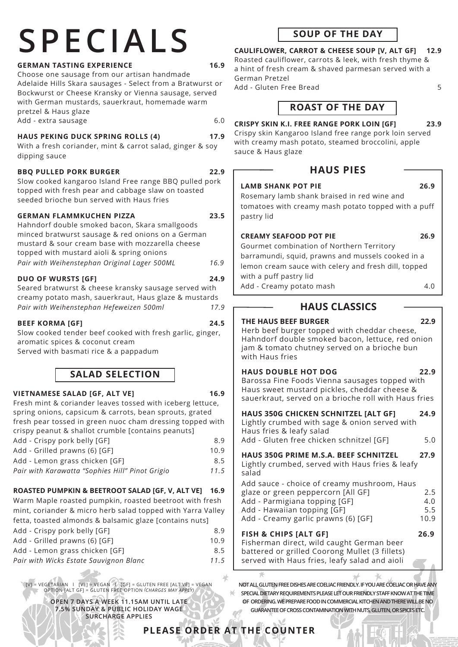# **SPECIALS**

## **GERMAN TASTING EXPERIENCE 16.9**

Choose one sausage from our artisan handmade Adelaide Hills Skara sausages - Select from a Bratwurst or Bockwurst or Cheese Kransky or Vienna sausage, served with German mustards, sauerkraut, homemade warm pretzel & Haus glaze Add - extra sausage 6.0

#### **HAUS PEKING DUCK SPRING ROLLS (4) 17.9**

With a fresh coriander, mint & carrot salad, ginger & soy dipping sauce

#### **BBQ PULLED PORK BURGER 22.9**

Slow cooked kangaroo Island Free range BBQ pulled pork topped with fresh pear and cabbage slaw on toasted seeded brioche bun served with Haus fries

#### **GERMAN FLAMMKUCHEN PIZZA 23.5**

| Hahndorf double smoked bacon, Skara smallgoods    |      |
|---------------------------------------------------|------|
| minced bratwurst sausage & red onions on a German |      |
| mustard & sour cream base with mozzarella cheese  |      |
| topped with mustard aioli & spring onions         |      |
| Pair with Weihenstephan Original Lager 500ML      | 16.9 |

#### **DUO OF WURSTS [GF] 24.9**

Seared bratwurst & cheese kransky sausage served with creamy potato mash, sauerkraut, Haus glaze & mustards *Pair with Weihenstephan Hefeweizen 500ml 17.9*

#### **BEEF KORMA [GF] 24.5**

Slow cooked tender beef cooked with fresh garlic, ginger, aromatic spices & coconut cream Served with basmati rice & a pappadum

## **SALAD SELECTION**

#### **VIETNAMESE SALAD [GF, ALT VE] 16.9**

 $\overline{\phantom{a}}$ 

 $\overline{\phantom{a}}$ 

 $\overline{\phantom{a}}$ 

Fresh mint & coriander leaves tossed with iceberg lettuce, spring onions, capsicum & carrots, bean sprouts, grated fresh pear tossed in green nuoc cham dressing topped with crispy peanut & shallot crumble [contains peanuts] Add - Crispy pork belly [GF] 8.9 Add - Grilled prawns (6) [GF] 10.9 Add - Lemon grass chicken [GF] 8.5

*Pair with Karawatta "Sophies Hill" Pinot Grigio 11.5* 

## **ROASTED PUMPKIN & BEETROOT SALAD [GF, V, ALT VE] 16.9**

Warm Maple roasted pumpkin, roasted beetroot with fresh mint, coriander & micro herb salad topped with Yarra Valley fetta, toasted almonds & balsamic glaze [contains nuts]

| Add - Crispy pork belly [GF]           | 8.9  |
|----------------------------------------|------|
| Add - Grilled prawns (6) [GF]          | 10.9 |
| Add - Lemon grass chicken [GF]         | 8.5  |
| Pair with Wicks Estate Sauvignon Blanc | 11.5 |

[V] = VEGETARIAN l [VE] = VEGAN l [GF] = GLUTEN FREE [ALT VE] = VEGAN OPTION [ALT GF] = GLUTEN FREE OPTION *(CHARGES MAY APPLY)*

**OPEN 7 DAYS A WEEK 11.15AM UNTIL LATE 7.5% SUNDAY & PUBLIC HOLIDAY WAGE SURCHARGE APPLIES**



## **CAULIFLOWER, CARROT & CHEESE SOUP [V, ALT GF] 12.9**

Roasted cauliflower, carrots & leek, with fresh thyme & a hint of fresh cream & shaved parmesan served with a German Pretzel

Add - Gluten Free Bread 5

# **ROAST OF THE DAY**

## **CRISPY SKIN K.I. FREE RANGE PORK LOIN [GF] 23.9**

Crispy skin Kangaroo Island free range pork loin served with creamy mash potato, steamed broccolini, apple sauce & Haus glaze

## **HAUS PIES**

**LAMB SHANK POT PIE 26.9** Rosemary lamb shank braised in red wine and

tomatoes with creamy mash potato topped with a puff pastry lid

### **CREAMY SEAFOOD POT PIE 26.9**

Gourmet combination of Northern Territory barramundi, squid, prawns and mussels cooked in a lemon cream sauce with celery and fresh dill, topped with a puff pastry lid Add - Creamy potato mash 4.0

# **HAUS CLASSICS**

#### **THE HAUS BEEF BURGER 22.9**

Herb beef burger topped with cheddar cheese, Hahndorf double smoked bacon, lettuce, red onion jam & tomato chutney served on a brioche bun with Haus fries

## **HAUS DOUBLE HOT DOG 22.9**

Barossa Fine Foods Vienna sausages topped with Haus sweet mustard pickles, cheddar cheese & sauerkraut, served on a brioche roll with Haus fries

| <b>HAUS 350G CHICKEN SCHNITZEL [ALT GF]</b>   | 24.9 |  |
|-----------------------------------------------|------|--|
| Lightly crumbed with sage & onion served with |      |  |
| Haus fries & leafy salad                      |      |  |
| Add - Gluten free chicken schnitzel [GF]      | 5.0  |  |
|                                               |      |  |

# **HAUS 350G PRIME M.S.A. BEEF SCHNITZEL 27.9**

Lightly crumbed, served with Haus fries & leafy salad

| Add sauce - choice of creamy mushroom, Haus |      |
|---------------------------------------------|------|
| glaze or green peppercorn [All GF]          | 2.5  |
| Add - Parmigiana topping [GF]               | 4.0  |
| Add - Hawaiian topping [GF]                 | 5.5  |
| Add - Creamy garlic prawns (6) [GF]         | 10.9 |
|                                             |      |

## **FISH & CHIPS [ALT GF] 26.9**

Fisherman direct, wild caught German beer battered or grilled Coorong Mullet (3 fillets) served with Haus fries, leafy salad and aioli

**NOT ALL GLUTEN FREE DISHES ARE COELIAC FRIENDLY. IF YOU ARE COELIAC OR HAVE ANY SPECIAL DIETARY REQUIREMENTS PLEASE LET OUR FRIENDLY STAFF KNOW AT THE TIME OF ORDERING. WE PREPARE FOOD IN COMMERCIAL KITCHEN AND THERE WILL BE NO GUARANTEE OF CROSS CONTAMINATION WITH NUTS, GLUTEN, OR SPICES ETC.**